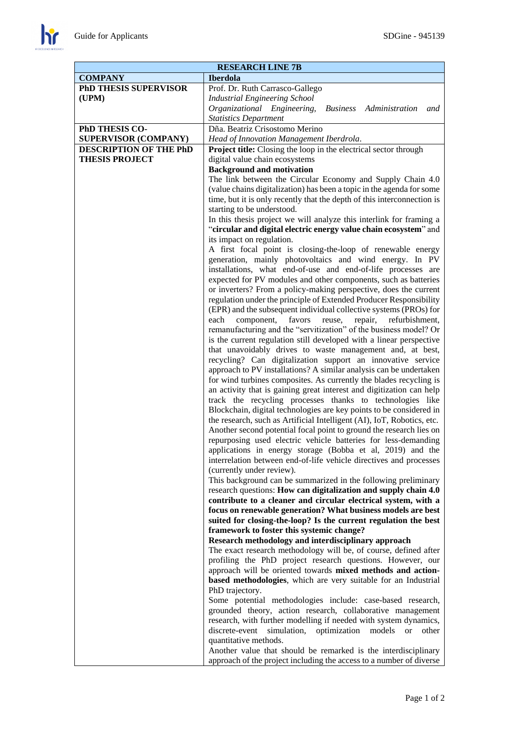$\mathbf{h}$ 

| <b>RESEARCH LINE 7B</b>                         |                                                                                                                                       |
|-------------------------------------------------|---------------------------------------------------------------------------------------------------------------------------------------|
| <b>COMPANY</b>                                  | <b>Iberdola</b>                                                                                                                       |
| <b>PhD THESIS SUPERVISOR</b>                    | Prof. Dr. Ruth Carrasco-Gallego                                                                                                       |
| (UPM)                                           | <b>Industrial Engineering School</b>                                                                                                  |
|                                                 | Organizational Engineering,<br>Business Administration<br>and                                                                         |
|                                                 | <b>Statistics Department</b>                                                                                                          |
| PhD THESIS CO-                                  | Dña. Beatriz Crisostomo Merino                                                                                                        |
| <b>SUPERVISOR (COMPANY)</b>                     | Head of Innovation Management Iberdrola.                                                                                              |
| DESCRIPTION OF THE PhD<br><b>THESIS PROJECT</b> | <b>Project title:</b> Closing the loop in the electrical sector through<br>digital value chain ecosystems                             |
|                                                 | <b>Background and motivation</b>                                                                                                      |
|                                                 | The link between the Circular Economy and Supply Chain 4.0                                                                            |
|                                                 | (value chains digitalization) has been a topic in the agenda for some                                                                 |
|                                                 | time, but it is only recently that the depth of this interconnection is                                                               |
|                                                 | starting to be understood.                                                                                                            |
|                                                 | In this thesis project we will analyze this interlink for framing a                                                                   |
|                                                 | "circular and digital electric energy value chain ecosystem" and                                                                      |
|                                                 | its impact on regulation.                                                                                                             |
|                                                 | A first focal point is closing-the-loop of renewable energy<br>generation, mainly photovoltaics and wind energy. In PV                |
|                                                 | installations, what end-of-use and end-of-life processes are                                                                          |
|                                                 | expected for PV modules and other components, such as batteries                                                                       |
|                                                 | or inverters? From a policy-making perspective, does the current                                                                      |
|                                                 | regulation under the principle of Extended Producer Responsibility                                                                    |
|                                                 | (EPR) and the subsequent individual collective systems (PROs) for                                                                     |
|                                                 | component,<br>favors<br>reuse,<br>each<br>repair, refurbishment,                                                                      |
|                                                 | remanufacturing and the "servitization" of the business model? Or                                                                     |
|                                                 | is the current regulation still developed with a linear perspective                                                                   |
|                                                 | that unavoidably drives to waste management and, at best,<br>recycling? Can digitalization support an innovative service              |
|                                                 | approach to PV installations? A similar analysis can be undertaken                                                                    |
|                                                 | for wind turbines composites. As currently the blades recycling is                                                                    |
|                                                 | an activity that is gaining great interest and digitization can help                                                                  |
|                                                 | track the recycling processes thanks to technologies like                                                                             |
|                                                 | Blockchain, digital technologies are key points to be considered in                                                                   |
|                                                 | the research, such as Artificial Intelligent (AI), IoT, Robotics, etc.                                                                |
|                                                 | Another second potential focal point to ground the research lies on<br>repurposing used electric vehicle batteries for less-demanding |
|                                                 | applications in energy storage (Bobba et al, 2019) and the                                                                            |
|                                                 | interrelation between end-of-life vehicle directives and processes                                                                    |
|                                                 | (currently under review).                                                                                                             |
|                                                 | This background can be summarized in the following preliminary                                                                        |
|                                                 | research questions: How can digitalization and supply chain 4.0                                                                       |
|                                                 | contribute to a cleaner and circular electrical system, with a                                                                        |
|                                                 | focus on renewable generation? What business models are best                                                                          |
|                                                 | suited for closing-the-loop? Is the current regulation the best<br>framework to foster this systemic change?                          |
|                                                 | Research methodology and interdisciplinary approach                                                                                   |
|                                                 | The exact research methodology will be, of course, defined after                                                                      |
|                                                 | profiling the PhD project research questions. However, our                                                                            |
|                                                 | approach will be oriented towards mixed methods and action-                                                                           |
|                                                 | based methodologies, which are very suitable for an Industrial                                                                        |
|                                                 | PhD trajectory.                                                                                                                       |
|                                                 | Some potential methodologies include: case-based research,                                                                            |
|                                                 | grounded theory, action research, collaborative management<br>research, with further modelling if needed with system dynamics,        |
|                                                 | discrete-event<br>simulation, optimization models<br><sub>or</sub><br>other                                                           |
|                                                 | quantitative methods.                                                                                                                 |
|                                                 | Another value that should be remarked is the interdisciplinary                                                                        |
|                                                 | approach of the project including the access to a number of diverse                                                                   |